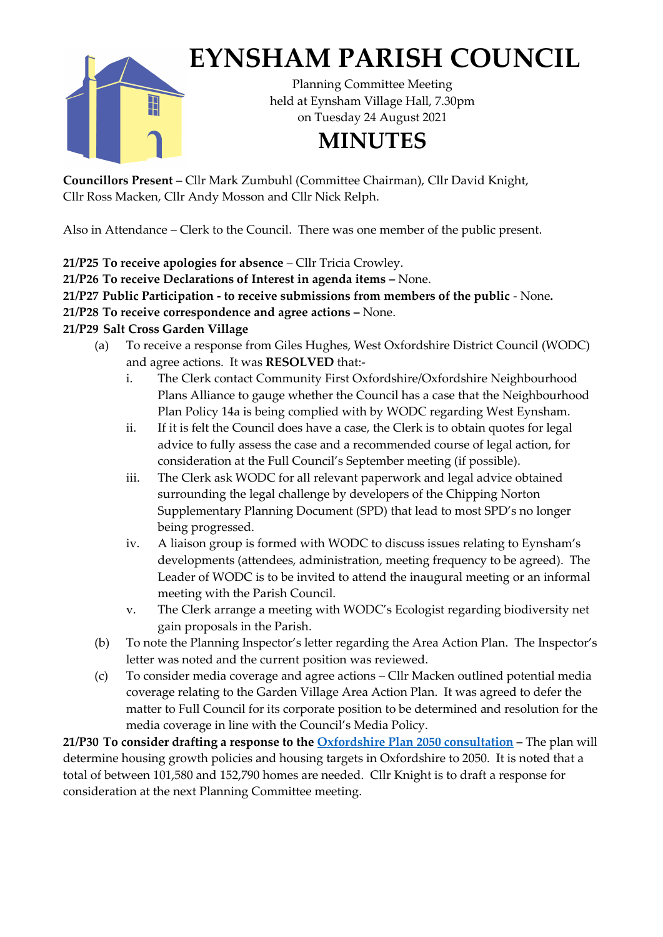

## **EYNSHAM PARISH COUNCIL**

Planning Committee Meeting held at Eynsham Village Hall, 7.30pm on Tuesday 24 August 2021

## **MINUTES**

**Councillors Present** – Cllr Mark Zumbuhl (Committee Chairman), Cllr David Knight, Cllr Ross Macken, Cllr Andy Mosson and Cllr Nick Relph.

Also in Attendance – Clerk to the Council. There was one member of the public present.

**21/P25 To receive apologies for absence** – Cllr Tricia Crowley.

**21/P26 To receive Declarations of Interest in agenda items –** None.

**21/P27 Public Participation - to receive submissions from members of the public** - None**.**

**21/P28 To receive correspondence and agree actions –** None.

## **21/P29 Salt Cross Garden Village**

- (a) To receive a response from Giles Hughes, West Oxfordshire District Council (WODC) and agree actions. It was **RESOLVED** that:
	- i. The Clerk contact Community First Oxfordshire/Oxfordshire Neighbourhood Plans Alliance to gauge whether the Council has a case that the Neighbourhood Plan Policy 14a is being complied with by WODC regarding West Eynsham.
	- ii. If it is felt the Council does have a case, the Clerk is to obtain quotes for legal advice to fully assess the case and a recommended course of legal action, for consideration at the Full Council's September meeting (if possible).
	- iii. The Clerk ask WODC for all relevant paperwork and legal advice obtained surrounding the legal challenge by developers of the Chipping Norton Supplementary Planning Document (SPD) that lead to most SPD's no longer being progressed.
	- iv. A liaison group is formed with WODC to discuss issues relating to Eynsham's developments (attendees, administration, meeting frequency to be agreed). The Leader of WODC is to be invited to attend the inaugural meeting or an informal meeting with the Parish Council.
	- v. The Clerk arrange a meeting with WODC's Ecologist regarding biodiversity net gain proposals in the Parish.
- (b) To note the Planning Inspector's letter regarding the Area Action Plan. The Inspector's letter was noted and the current position was reviewed.
- (c) To consider media coverage and agree actions Cllr Macken outlined potential media coverage relating to the Garden Village Area Action Plan. It was agreed to defer the matter to Full Council for its corporate position to be determined and resolution for the media coverage in line with the Council's Media Policy.

**21/P30 To consider drafting a response to the [Oxfordshire Plan 2050](https://oxfordshireplan.org/) consultation –** The plan will determine housing growth policies and housing targets in Oxfordshire to 2050. It is noted that a total of between 101,580 and 152,790 homes are needed. Cllr Knight is to draft a response for consideration at the next Planning Committee meeting.